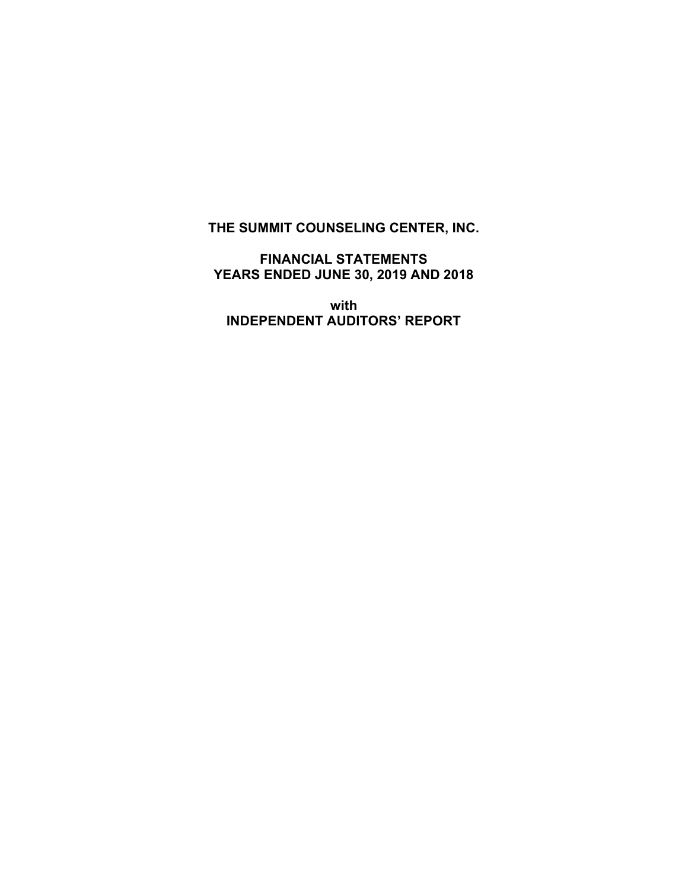**THE SUMMIT COUNSELING CENTER, INC.** 

**FINANCIAL STATEMENTS YEARS ENDED JUNE 30, 2019 AND 2018** 

**with INDEPENDENT AUDITORS' REPORT**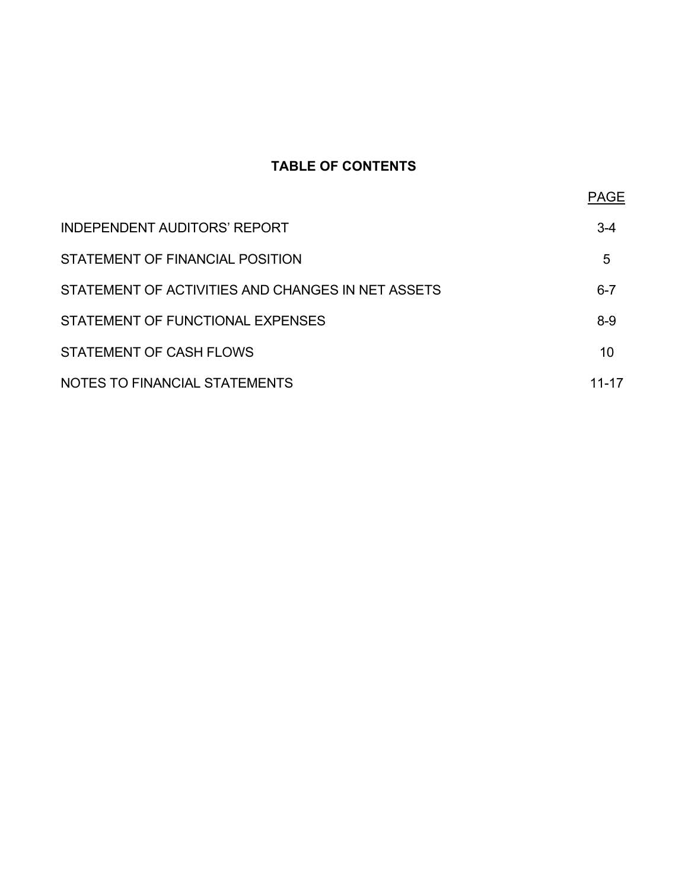# **TABLE OF CONTENTS**

| INDEPENDENT AUDITORS' REPORT                      | $3 - 4$ |
|---------------------------------------------------|---------|
| STATEMENT OF FINANCIAL POSITION                   | 5       |
| STATEMENT OF ACTIVITIES AND CHANGES IN NET ASSETS | $6 - 7$ |
| STATEMENT OF FUNCTIONAL EXPENSES                  | $8-9$   |
| STATEMENT OF CASH FLOWS                           | 10      |
| NOTES TO FINANCIAL STATEMENTS                     | 11-17   |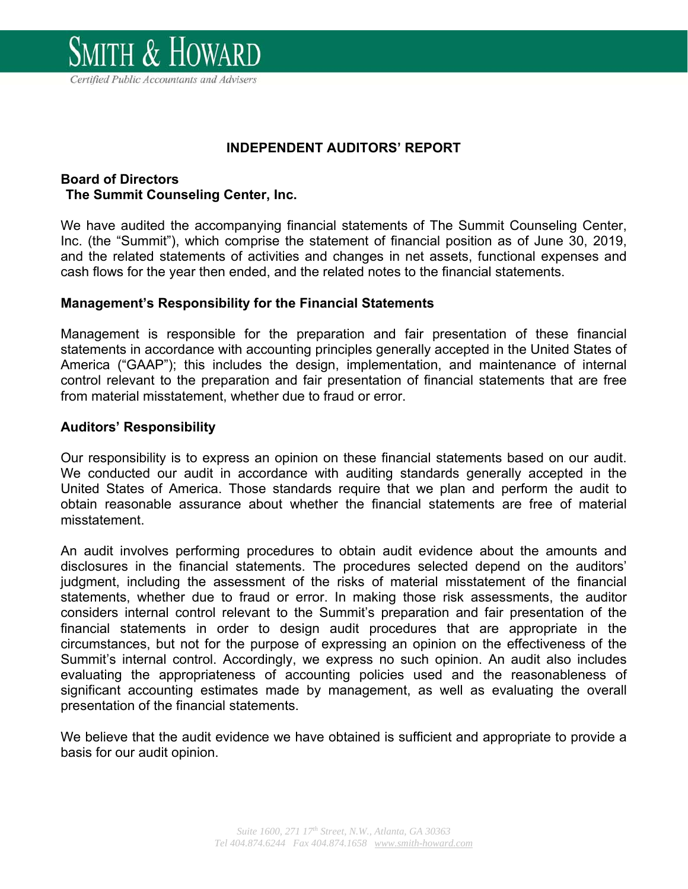

# **INDEPENDENT AUDITORS' REPORT**

### **Board of Directors The Summit Counseling Center, Inc.**

We have audited the accompanying financial statements of The Summit Counseling Center, Inc. (the "Summit"), which comprise the statement of financial position as of June 30, 2019, and the related statements of activities and changes in net assets, functional expenses and cash flows for the year then ended, and the related notes to the financial statements.

#### **Management's Responsibility for the Financial Statements**

Management is responsible for the preparation and fair presentation of these financial statements in accordance with accounting principles generally accepted in the United States of America ("GAAP"); this includes the design, implementation, and maintenance of internal control relevant to the preparation and fair presentation of financial statements that are free from material misstatement, whether due to fraud or error.

#### **Auditors' Responsibility**

Our responsibility is to express an opinion on these financial statements based on our audit. We conducted our audit in accordance with auditing standards generally accepted in the United States of America. Those standards require that we plan and perform the audit to obtain reasonable assurance about whether the financial statements are free of material misstatement.

An audit involves performing procedures to obtain audit evidence about the amounts and disclosures in the financial statements. The procedures selected depend on the auditors' judgment, including the assessment of the risks of material misstatement of the financial statements, whether due to fraud or error. In making those risk assessments, the auditor considers internal control relevant to the Summit's preparation and fair presentation of the financial statements in order to design audit procedures that are appropriate in the circumstances, but not for the purpose of expressing an opinion on the effectiveness of the Summit's internal control. Accordingly, we express no such opinion. An audit also includes evaluating the appropriateness of accounting policies used and the reasonableness of significant accounting estimates made by management, as well as evaluating the overall presentation of the financial statements.

We believe that the audit evidence we have obtained is sufficient and appropriate to provide a basis for our audit opinion.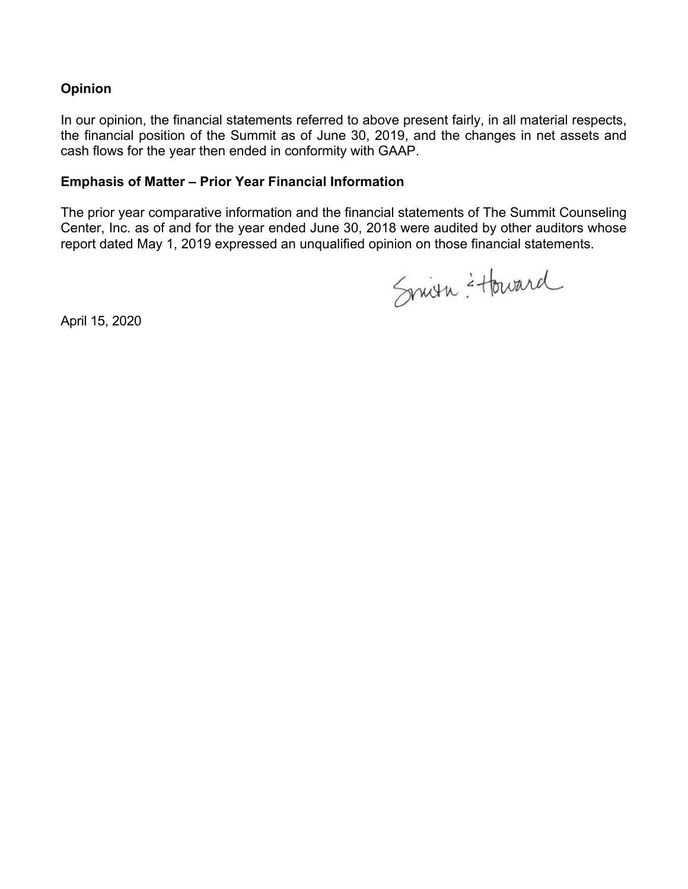# **Opinion**

In our opinion, the financial statements referred to above present fairly, in all material respects, the financial position of the Summit as of June 30, 2019, and the changes in net assets and cash flows for the year then ended in conformity with GAAP.

#### **Emphasis of Matter – Prior Year Financial Information**

The prior year comparative information and the financial statements of The Summit Counseling Center, Inc. as of and for the year ended June 30, 2018 were audited by other auditors whose report dated May 1, 2019 expressed an unqualified opinion on those financial statements.

Smith: + toward

April 15, 2020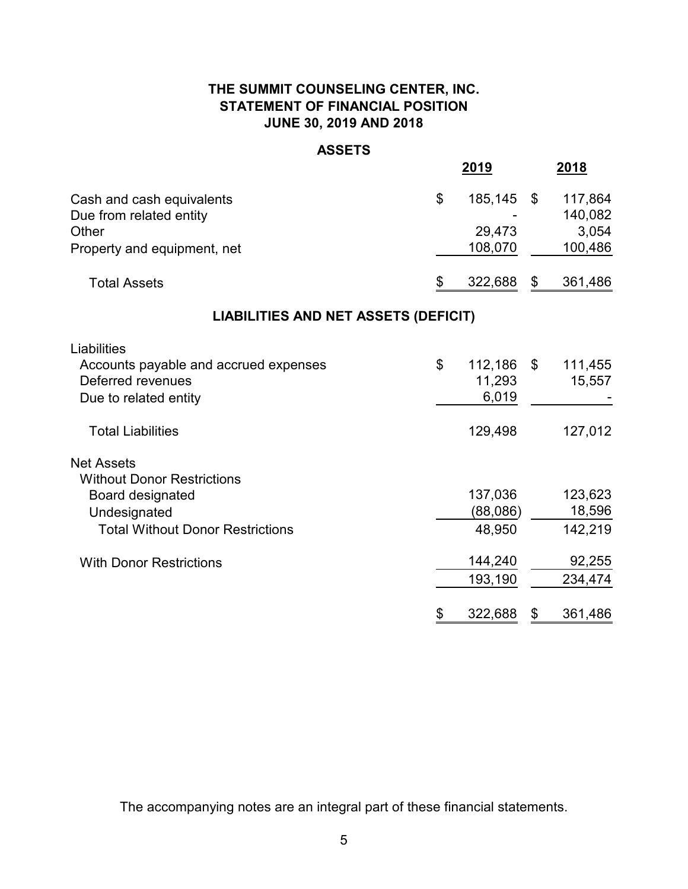# **THE SUMMIT COUNSELING CENTER, INC. STATEMENT OF FINANCIAL POSITION JUNE 30, 2019 AND 2018**

# **ASSETS**

|                                                      | 2019          | 2018                     |
|------------------------------------------------------|---------------|--------------------------|
| Cash and cash equivalents<br>Due from related entity | \$<br>185,145 | \$<br>117,864<br>140,082 |
| Other                                                | 29,473        | 3,054                    |
| Property and equipment, net                          | 108,070       | 100,486                  |
| <b>Total Assets</b>                                  | \$<br>322,688 | \$<br>361,486            |
| <b>LIABILITIES AND NET ASSETS (DEFICIT)</b>          |               |                          |
| Liabilities                                          |               |                          |
| Accounts payable and accrued expenses                | \$<br>112,186 | \$<br>111,455            |
| Deferred revenues                                    | 11,293        | 15,557                   |
| Due to related entity                                | 6,019         |                          |
| <b>Total Liabilities</b>                             | 129,498       | 127,012                  |
| <b>Net Assets</b>                                    |               |                          |
| <b>Without Donor Restrictions</b>                    |               |                          |
| <b>Board designated</b>                              | 137,036       | 123,623                  |
| Undesignated                                         | (88,086)      | 18,596                   |
| <b>Total Without Donor Restrictions</b>              | 48,950        | 142,219                  |
| <b>With Donor Restrictions</b>                       | 144,240       | 92,255                   |
|                                                      | 193,190       | 234,474                  |
|                                                      | \$<br>322,688 | \$<br>361,486            |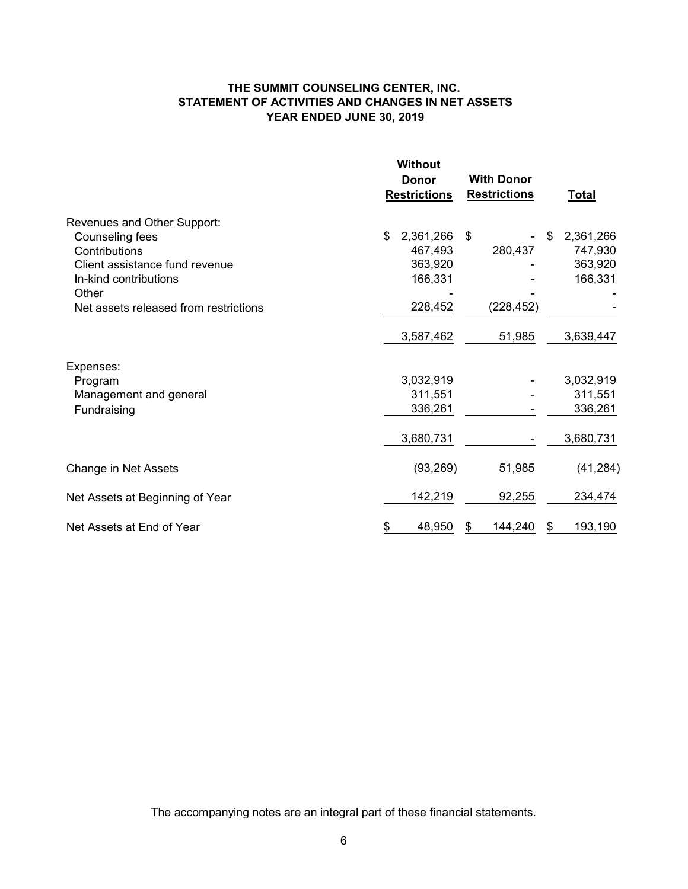#### **THE SUMMIT COUNSELING CENTER, INC. STATEMENT OF ACTIVITIES AND CHANGES IN NET ASSETS YEAR ENDED JUNE 30, 2019**

|                                       | <b>Without</b><br><b>Donor</b><br><b>Restrictions</b> | <b>With Donor</b><br><b>Restrictions</b> | <u>Total</u>    |
|---------------------------------------|-------------------------------------------------------|------------------------------------------|-----------------|
| Revenues and Other Support:           |                                                       |                                          |                 |
| Counseling fees                       | \$<br>2,361,266                                       | \$                                       | 2,361,266<br>\$ |
| Contributions                         | 467,493                                               | 280,437                                  | 747,930         |
| Client assistance fund revenue        | 363,920                                               |                                          | 363,920         |
| In-kind contributions                 | 166,331                                               |                                          | 166,331         |
| Other                                 |                                                       |                                          |                 |
| Net assets released from restrictions | 228,452                                               | (228, 452)                               |                 |
|                                       | 3,587,462                                             | 51,985                                   | 3,639,447       |
| Expenses:                             |                                                       |                                          |                 |
| Program                               | 3,032,919                                             |                                          | 3,032,919       |
| Management and general                | 311,551                                               |                                          | 311,551         |
| Fundraising                           | 336,261                                               |                                          | 336,261         |
|                                       | 3,680,731                                             |                                          | 3,680,731       |
| Change in Net Assets                  | (93, 269)                                             | 51,985                                   | (41, 284)       |
| Net Assets at Beginning of Year       | 142,219                                               | 92,255                                   | 234,474         |
| Net Assets at End of Year             | 48,950<br>\$                                          | 144,240<br>\$                            | 193,190<br>\$   |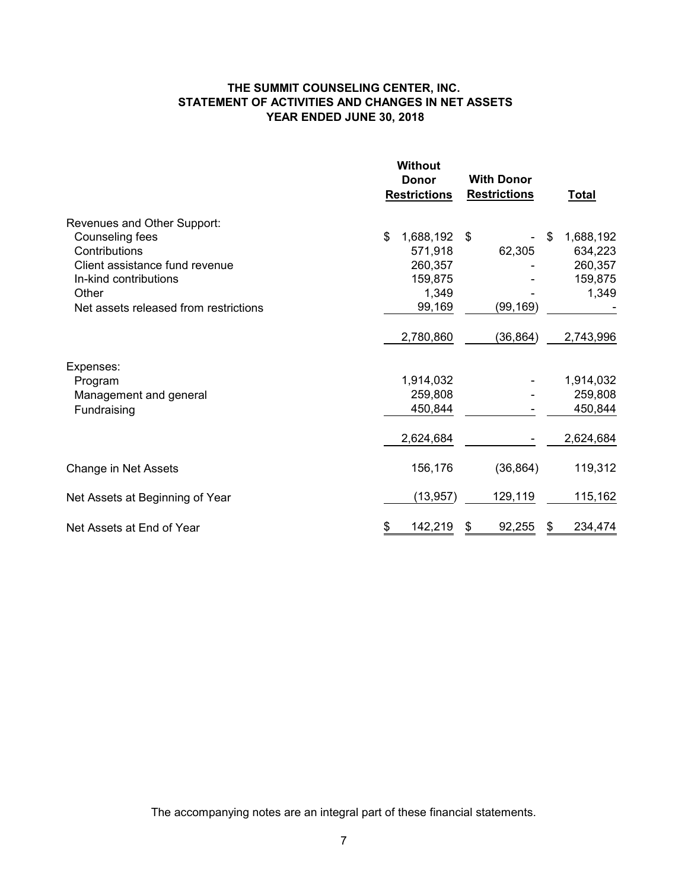#### **THE SUMMIT COUNSELING CENTER, INC. STATEMENT OF ACTIVITIES AND CHANGES IN NET ASSETS YEAR ENDED JUNE 30, 2018**

|                                       | <b>Without</b><br><b>Donor</b><br><b>Restrictions</b> | <b>With Donor</b><br><b>Restrictions</b> | <u>Total</u>    |
|---------------------------------------|-------------------------------------------------------|------------------------------------------|-----------------|
| Revenues and Other Support:           |                                                       |                                          |                 |
| Counseling fees                       | \$<br>1,688,192                                       | \$                                       | 1,688,192<br>\$ |
| Contributions                         | 571,918                                               | 62,305                                   | 634,223         |
| Client assistance fund revenue        | 260,357                                               |                                          | 260,357         |
| In-kind contributions                 | 159,875                                               |                                          | 159,875         |
| Other                                 | 1,349                                                 |                                          | 1,349           |
| Net assets released from restrictions | 99,169                                                | (99, 169)                                |                 |
|                                       | 2,780,860                                             | (36, 864)                                | 2,743,996       |
| Expenses:                             |                                                       |                                          |                 |
| Program                               | 1,914,032                                             |                                          | 1,914,032       |
| Management and general                | 259,808                                               |                                          | 259,808         |
| Fundraising                           | 450,844                                               |                                          | 450,844         |
|                                       | 2,624,684                                             |                                          | 2,624,684       |
| Change in Net Assets                  | 156,176                                               | (36, 864)                                | 119,312         |
| Net Assets at Beginning of Year       | (13, 957)                                             | 129,119                                  | 115,162         |
| Net Assets at End of Year             | 142,219<br>\$                                         | 92,255<br>\$                             | 234,474<br>\$   |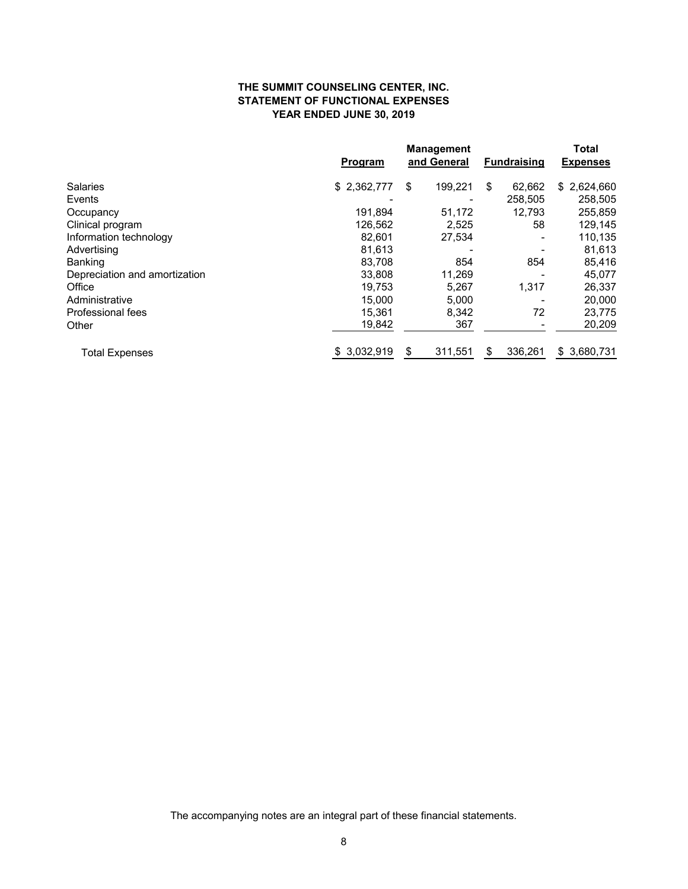#### **THE SUMMIT COUNSELING CENTER, INC. STATEMENT OF FUNCTIONAL EXPENSES YEAR ENDED JUNE 30, 2019**

|                               | Program     | <b>Management</b><br>and General | <b>Fundraising</b> | <b>Total</b><br><b>Expenses</b> |
|-------------------------------|-------------|----------------------------------|--------------------|---------------------------------|
| <b>Salaries</b>               | \$2,362,777 | \$<br>199,221                    | \$<br>62,662       | \$2,624,660                     |
| Events                        |             |                                  | 258,505            | 258,505                         |
| Occupancy                     | 191.894     | 51,172                           | 12.793             | 255,859                         |
| Clinical program              | 126,562     | 2,525                            | 58                 | 129,145                         |
| Information technology        | 82.601      | 27,534                           |                    | 110,135                         |
| Advertising                   | 81,613      |                                  |                    | 81,613                          |
| Banking                       | 83,708      | 854                              | 854                | 85,416                          |
| Depreciation and amortization | 33,808      | 11,269                           |                    | 45,077                          |
| Office                        | 19,753      | 5,267                            | 1,317              | 26,337                          |
| Administrative                | 15.000      | 5,000                            |                    | 20,000                          |
| Professional fees             | 15,361      | 8,342                            | 72                 | 23,775                          |
| Other                         | 19,842      | 367                              |                    | 20,209                          |
| <b>Total Expenses</b>         | \$3,032,919 | 311,551<br>\$                    | 336.261<br>S       | \$3,680,731                     |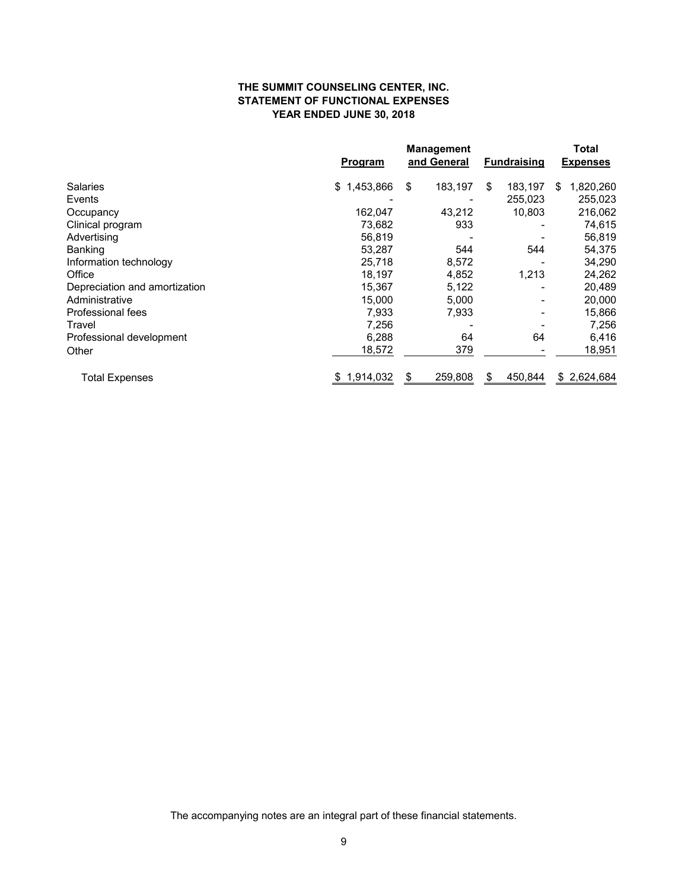#### **THE SUMMIT COUNSELING CENTER, INC. STATEMENT OF FUNCTIONAL EXPENSES YEAR ENDED JUNE 30, 2018**

|                               | Program         | <b>Management</b><br>and General | <b>Fundraising</b> | <b>Total</b><br><b>Expenses</b> |
|-------------------------------|-----------------|----------------------------------|--------------------|---------------------------------|
| <b>Salaries</b>               | 1,453,866<br>\$ | 183,197<br>\$                    | \$<br>183,197      | 1,820,260<br>\$                 |
| Events                        |                 |                                  | 255,023            | 255,023                         |
| Occupancy                     | 162,047         | 43,212                           | 10.803             | 216,062                         |
| Clinical program              | 73,682          | 933                              |                    | 74,615                          |
| Advertising                   | 56,819          |                                  |                    | 56,819                          |
| <b>Banking</b>                | 53,287          | 544                              | 544                | 54,375                          |
| Information technology        | 25,718          | 8,572                            |                    | 34,290                          |
| Office                        | 18,197          | 4,852                            | 1,213              | 24,262                          |
| Depreciation and amortization | 15.367          | 5,122                            |                    | 20,489                          |
| Administrative                | 15,000          | 5,000                            |                    | 20,000                          |
| Professional fees             | 7,933           | 7,933                            |                    | 15,866                          |
| Travel                        | 7,256           |                                  |                    | 7,256                           |
| Professional development      | 6,288           | 64                               | 64                 | 6,416                           |
| Other                         | 18,572          | 379                              |                    | 18,951                          |
| <b>Total Expenses</b>         | 1,914,032<br>S  | 259.808<br>\$                    | 450.844<br>S       | \$2,624,684                     |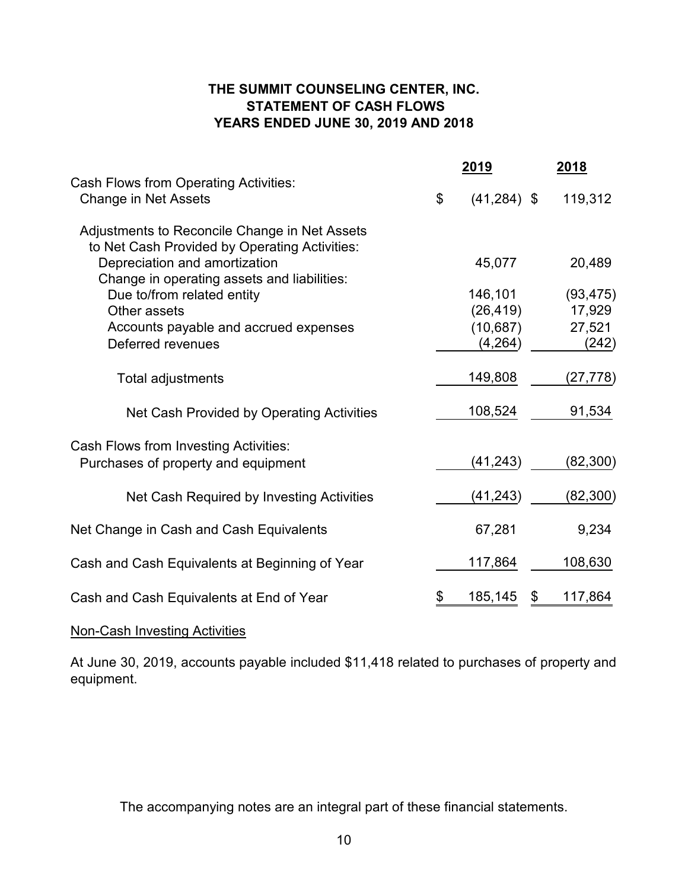# **THE SUMMIT COUNSELING CENTER, INC. STATEMENT OF CASH FLOWS YEARS ENDED JUNE 30, 2019 AND 2018**

|                                                                                                | 2019                 | 2018      |
|------------------------------------------------------------------------------------------------|----------------------|-----------|
| <b>Cash Flows from Operating Activities:</b><br><b>Change in Net Assets</b>                    | \$<br>$(41, 284)$ \$ | 119,312   |
| Adjustments to Reconcile Change in Net Assets<br>to Net Cash Provided by Operating Activities: |                      |           |
| Depreciation and amortization<br>Change in operating assets and liabilities:                   | 45,077               | 20,489    |
| Due to/from related entity                                                                     | 146,101              | (93, 475) |
| Other assets                                                                                   | (26, 419)            | 17,929    |
| Accounts payable and accrued expenses                                                          | (10, 687)            | 27,521    |
| Deferred revenues                                                                              | (4, 264)             | (242)     |
| Total adjustments                                                                              | 149,808              | (27,778)  |
| Net Cash Provided by Operating Activities                                                      | 108,524              | 91,534    |
| Cash Flows from Investing Activities:                                                          |                      |           |
| Purchases of property and equipment                                                            | (41, 243)            | (82, 300) |
| Net Cash Required by Investing Activities                                                      | (41, 243)            | (82, 300) |
| Net Change in Cash and Cash Equivalents                                                        | 67,281               | 9,234     |
| Cash and Cash Equivalents at Beginning of Year                                                 | 117,864              | 108,630   |
| Cash and Cash Equivalents at End of Year                                                       | 185,145<br>\$        | 117,864   |

# Non-Cash Investing Activities

At June 30, 2019, accounts payable included \$11,418 related to purchases of property and equipment.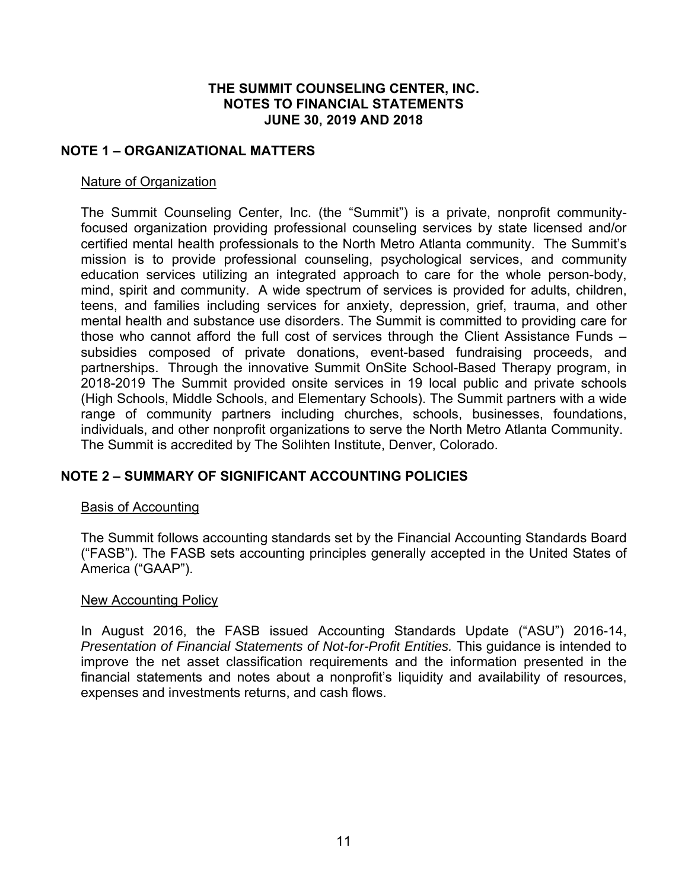# **NOTE 1 – ORGANIZATIONAL MATTERS**

# Nature of Organization

The Summit Counseling Center, Inc. (the "Summit") is a private, nonprofit communityfocused organization providing professional counseling services by state licensed and/or certified mental health professionals to the North Metro Atlanta community. The Summit's mission is to provide professional counseling, psychological services, and community education services utilizing an integrated approach to care for the whole person-body, mind, spirit and community. A wide spectrum of services is provided for adults, children, teens, and families including services for anxiety, depression, grief, trauma, and other mental health and substance use disorders. The Summit is committed to providing care for those who cannot afford the full cost of services through the Client Assistance Funds – subsidies composed of private donations, event-based fundraising proceeds, and partnerships. Through the innovative Summit OnSite School-Based Therapy program, in 2018-2019 The Summit provided onsite services in 19 local public and private schools (High Schools, Middle Schools, and Elementary Schools). The Summit partners with a wide range of community partners including churches, schools, businesses, foundations, individuals, and other nonprofit organizations to serve the North Metro Atlanta Community. The Summit is accredited by The Solihten Institute, Denver, Colorado.

# **NOTE 2 – SUMMARY OF SIGNIFICANT ACCOUNTING POLICIES**

#### Basis of Accounting

The Summit follows accounting standards set by the Financial Accounting Standards Board ("FASB"). The FASB sets accounting principles generally accepted in the United States of America ("GAAP").

#### New Accounting Policy

In August 2016, the FASB issued Accounting Standards Update ("ASU") 2016-14, *Presentation of Financial Statements of Not-for-Profit Entities.* This guidance is intended to improve the net asset classification requirements and the information presented in the financial statements and notes about a nonprofit's liquidity and availability of resources, expenses and investments returns, and cash flows.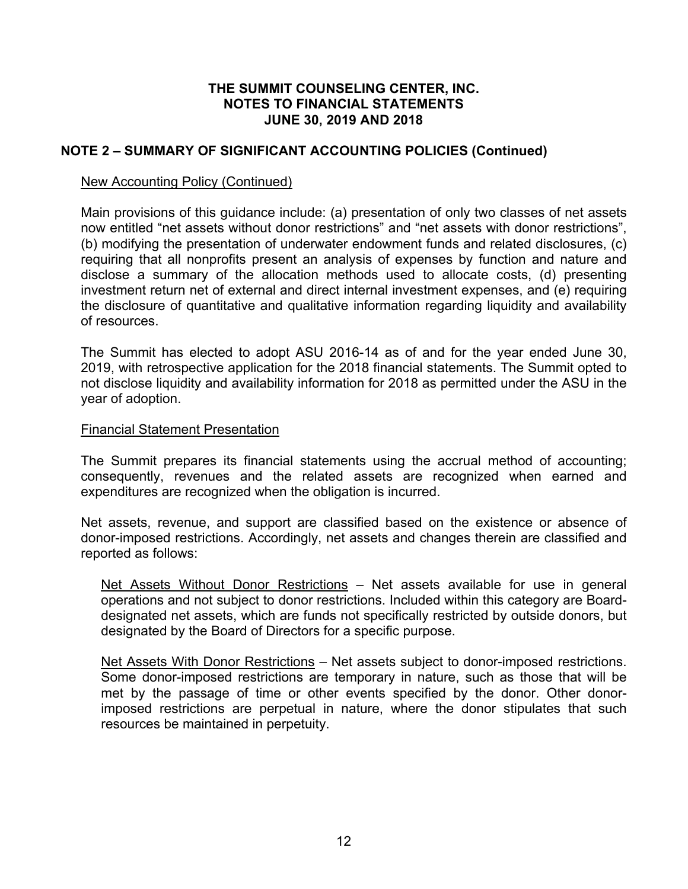# **NOTE 2 – SUMMARY OF SIGNIFICANT ACCOUNTING POLICIES (Continued)**

### New Accounting Policy (Continued)

Main provisions of this guidance include: (a) presentation of only two classes of net assets now entitled "net assets without donor restrictions" and "net assets with donor restrictions", (b) modifying the presentation of underwater endowment funds and related disclosures, (c) requiring that all nonprofits present an analysis of expenses by function and nature and disclose a summary of the allocation methods used to allocate costs, (d) presenting investment return net of external and direct internal investment expenses, and (e) requiring the disclosure of quantitative and qualitative information regarding liquidity and availability of resources.

The Summit has elected to adopt ASU 2016-14 as of and for the year ended June 30, 2019, with retrospective application for the 2018 financial statements. The Summit opted to not disclose liquidity and availability information for 2018 as permitted under the ASU in the year of adoption.

#### Financial Statement Presentation

The Summit prepares its financial statements using the accrual method of accounting; consequently, revenues and the related assets are recognized when earned and expenditures are recognized when the obligation is incurred.

Net assets, revenue, and support are classified based on the existence or absence of donor-imposed restrictions. Accordingly, net assets and changes therein are classified and reported as follows:

Net Assets Without Donor Restrictions – Net assets available for use in general operations and not subject to donor restrictions. Included within this category are Boarddesignated net assets, which are funds not specifically restricted by outside donors, but designated by the Board of Directors for a specific purpose.

Net Assets With Donor Restrictions – Net assets subject to donor-imposed restrictions. Some donor-imposed restrictions are temporary in nature, such as those that will be met by the passage of time or other events specified by the donor. Other donorimposed restrictions are perpetual in nature, where the donor stipulates that such resources be maintained in perpetuity.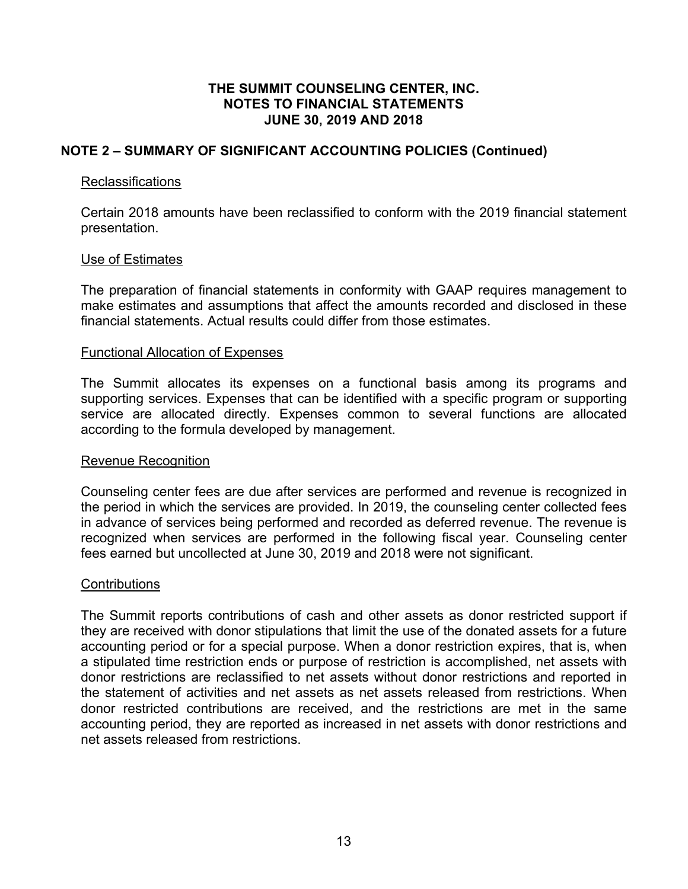# **NOTE 2 – SUMMARY OF SIGNIFICANT ACCOUNTING POLICIES (Continued)**

### Reclassifications

Certain 2018 amounts have been reclassified to conform with the 2019 financial statement presentation.

#### Use of Estimates

The preparation of financial statements in conformity with GAAP requires management to make estimates and assumptions that affect the amounts recorded and disclosed in these financial statements. Actual results could differ from those estimates.

#### Functional Allocation of Expenses

The Summit allocates its expenses on a functional basis among its programs and supporting services. Expenses that can be identified with a specific program or supporting service are allocated directly. Expenses common to several functions are allocated according to the formula developed by management.

#### Revenue Recognition

Counseling center fees are due after services are performed and revenue is recognized in the period in which the services are provided. In 2019, the counseling center collected fees in advance of services being performed and recorded as deferred revenue. The revenue is recognized when services are performed in the following fiscal year. Counseling center fees earned but uncollected at June 30, 2019 and 2018 were not significant.

#### **Contributions**

The Summit reports contributions of cash and other assets as donor restricted support if they are received with donor stipulations that limit the use of the donated assets for a future accounting period or for a special purpose. When a donor restriction expires, that is, when a stipulated time restriction ends or purpose of restriction is accomplished, net assets with donor restrictions are reclassified to net assets without donor restrictions and reported in the statement of activities and net assets as net assets released from restrictions. When donor restricted contributions are received, and the restrictions are met in the same accounting period, they are reported as increased in net assets with donor restrictions and net assets released from restrictions.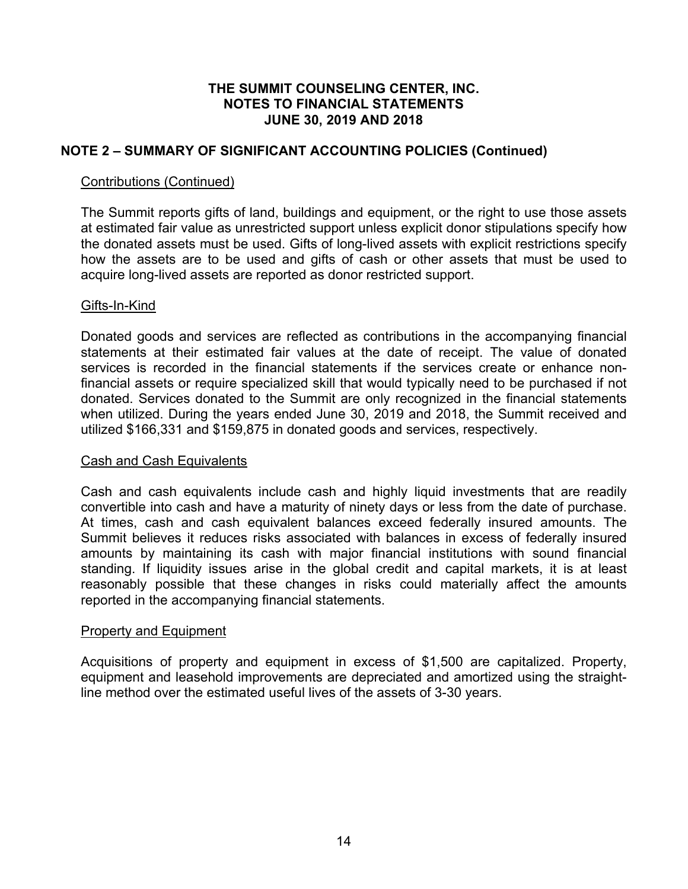# **NOTE 2 – SUMMARY OF SIGNIFICANT ACCOUNTING POLICIES (Continued)**

# Contributions (Continued)

The Summit reports gifts of land, buildings and equipment, or the right to use those assets at estimated fair value as unrestricted support unless explicit donor stipulations specify how the donated assets must be used. Gifts of long-lived assets with explicit restrictions specify how the assets are to be used and gifts of cash or other assets that must be used to acquire long-lived assets are reported as donor restricted support.

#### Gifts-In-Kind

Donated goods and services are reflected as contributions in the accompanying financial statements at their estimated fair values at the date of receipt. The value of donated services is recorded in the financial statements if the services create or enhance nonfinancial assets or require specialized skill that would typically need to be purchased if not donated. Services donated to the Summit are only recognized in the financial statements when utilized. During the years ended June 30, 2019 and 2018, the Summit received and utilized \$166,331 and \$159,875 in donated goods and services, respectively.

# Cash and Cash Equivalents

Cash and cash equivalents include cash and highly liquid investments that are readily convertible into cash and have a maturity of ninety days or less from the date of purchase. At times, cash and cash equivalent balances exceed federally insured amounts. The Summit believes it reduces risks associated with balances in excess of federally insured amounts by maintaining its cash with major financial institutions with sound financial standing. If liquidity issues arise in the global credit and capital markets, it is at least reasonably possible that these changes in risks could materially affect the amounts reported in the accompanying financial statements.

#### Property and Equipment

Acquisitions of property and equipment in excess of \$1,500 are capitalized. Property, equipment and leasehold improvements are depreciated and amortized using the straightline method over the estimated useful lives of the assets of 3-30 years.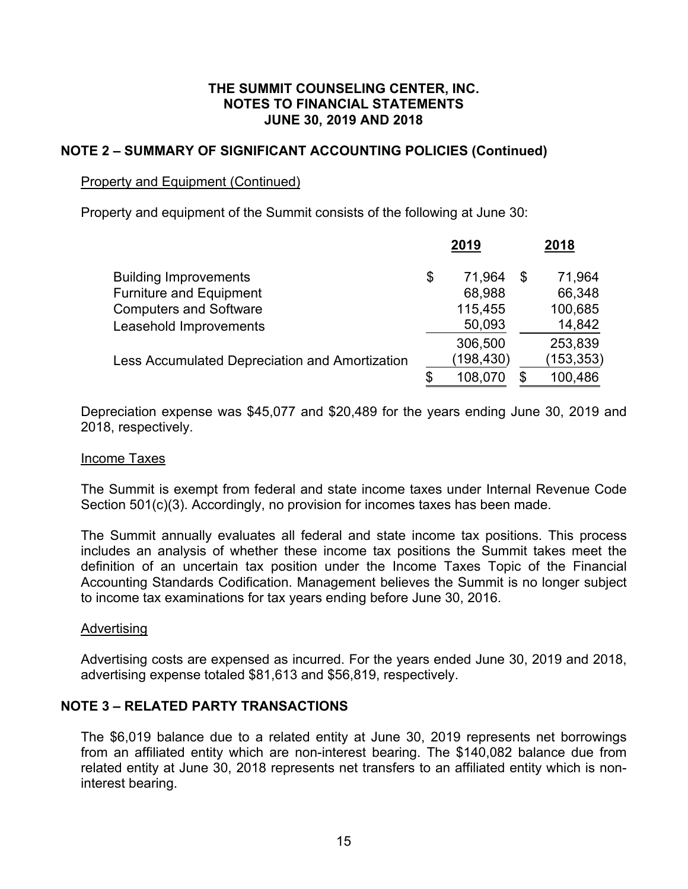# **NOTE 2 – SUMMARY OF SIGNIFICANT ACCOUNTING POLICIES (Continued)**

# Property and Equipment (Continued)

Property and equipment of the Summit consists of the following at June 30:

|                                                | 2019         |    | 2018      |
|------------------------------------------------|--------------|----|-----------|
| <b>Building Improvements</b>                   | \$<br>71,964 | \$ | 71,964    |
| <b>Furniture and Equipment</b>                 | 68,988       |    | 66,348    |
| <b>Computers and Software</b>                  | 115,455      |    | 100,685   |
| Leasehold Improvements                         | 50,093       |    | 14,842    |
|                                                | 306,500      |    | 253,839   |
| Less Accumulated Depreciation and Amortization | (198, 430)   |    | (153,353) |
|                                                | 108,070      | S  | 100,486   |

Depreciation expense was \$45,077 and \$20,489 for the years ending June 30, 2019 and 2018, respectively.

# Income Taxes

The Summit is exempt from federal and state income taxes under Internal Revenue Code Section 501(c)(3). Accordingly, no provision for incomes taxes has been made.

The Summit annually evaluates all federal and state income tax positions. This process includes an analysis of whether these income tax positions the Summit takes meet the definition of an uncertain tax position under the Income Taxes Topic of the Financial Accounting Standards Codification. Management believes the Summit is no longer subject to income tax examinations for tax years ending before June 30, 2016.

# Advertising

Advertising costs are expensed as incurred. For the years ended June 30, 2019 and 2018, advertising expense totaled \$81,613 and \$56,819, respectively.

# **NOTE 3 – RELATED PARTY TRANSACTIONS**

The \$6,019 balance due to a related entity at June 30, 2019 represents net borrowings from an affiliated entity which are non-interest bearing. The \$140,082 balance due from related entity at June 30, 2018 represents net transfers to an affiliated entity which is noninterest bearing.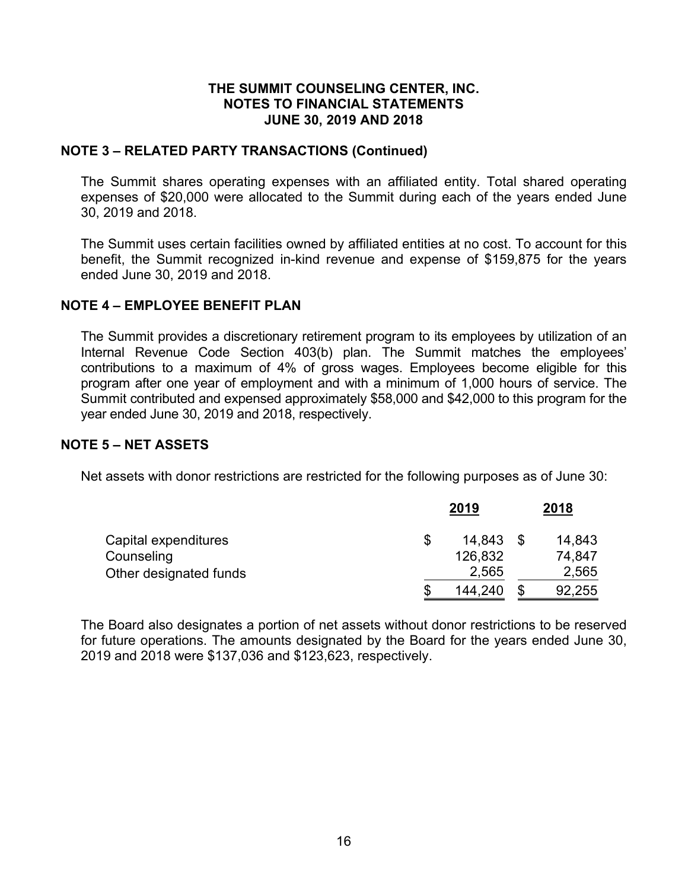### **NOTE 3 – RELATED PARTY TRANSACTIONS (Continued)**

The Summit shares operating expenses with an affiliated entity. Total shared operating expenses of \$20,000 were allocated to the Summit during each of the years ended June 30, 2019 and 2018.

The Summit uses certain facilities owned by affiliated entities at no cost. To account for this benefit, the Summit recognized in-kind revenue and expense of \$159,875 for the years ended June 30, 2019 and 2018.

#### **NOTE 4 – EMPLOYEE BENEFIT PLAN**

The Summit provides a discretionary retirement program to its employees by utilization of an Internal Revenue Code Section 403(b) plan. The Summit matches the employees' contributions to a maximum of 4% of gross wages. Employees become eligible for this program after one year of employment and with a minimum of 1,000 hours of service. The Summit contributed and expensed approximately \$58,000 and \$42,000 to this program for the year ended June 30, 2019 and 2018, respectively.

### **NOTE 5 – NET ASSETS**

Net assets with donor restrictions are restricted for the following purposes as of June 30:

|                        | 2019          | 2018   |
|------------------------|---------------|--------|
| Capital expenditures   | \$<br>14.843  | 14,843 |
| Counseling             | 126,832       | 74,847 |
| Other designated funds | 2,565         | 2,565  |
|                        | \$<br>144,240 | 92,255 |

The Board also designates a portion of net assets without donor restrictions to be reserved for future operations. The amounts designated by the Board for the years ended June 30, 2019 and 2018 were \$137,036 and \$123,623, respectively.